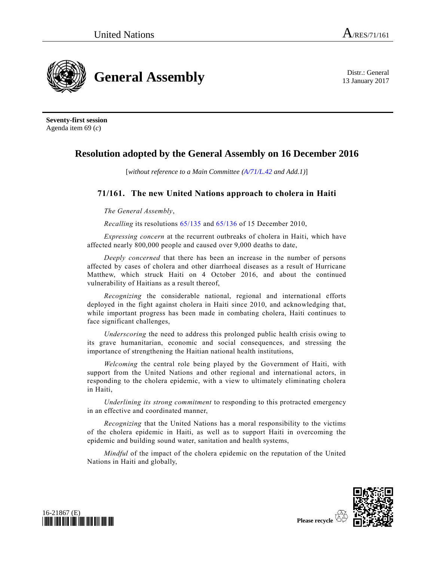**General Assembly** Distr.: General

13 January 2017

**Seventy-first session** Agenda item 69 (*c*)

## **Resolution adopted by the General Assembly on 16 December 2016**

[*without reference to a Main Committee [\(A/71/L.42](http://undocs.org/A/71/L.42) and Add.1)*]

## **71/161. The new United Nations approach to cholera in Haiti**

*The General Assembly*,

*Recalling* its resolutions [65/135](http://undocs.org/A/RES/65/135) and [65/136](http://undocs.org/A/RES/65/136) of 15 December 2010,

*Expressing concern* at the recurrent outbreaks of cholera in Haiti, which have affected nearly 800,000 people and caused over 9,000 deaths to date,

*Deeply concerned* that there has been an increase in the number of persons affected by cases of cholera and other diarrhoeal diseases as a result of Hurricane Matthew, which struck Haiti on 4 October 2016, and about the continued vulnerability of Haitians as a result thereof,

*Recognizing* the considerable national, regional and international efforts deployed in the fight against cholera in Haiti since 2010, and acknowledging that, while important progress has been made in combating cholera, Haiti continues to face significant challenges,

*Underscoring* the need to address this prolonged public health crisis owing to its grave humanitarian, economic and social consequences, and stressing the importance of strengthening the Haitian national health institutions,

*Welcoming* the central role being played by the Government of Haiti, with support from the United Nations and other regional and international actors, in responding to the cholera epidemic, with a view to ultimately eliminating cholera in Haiti,

*Underlining its strong commitment* to responding to this protracted emergency in an effective and coordinated manner,

*Recognizing* that the United Nations has a moral responsibility to the victims of the cholera epidemic in Haiti, as well as to support Haiti in overcoming the epidemic and building sound water, sanitation and health systems,

*Mindful* of the impact of the cholera epidemic on the reputation of the United Nations in Haiti and globally,